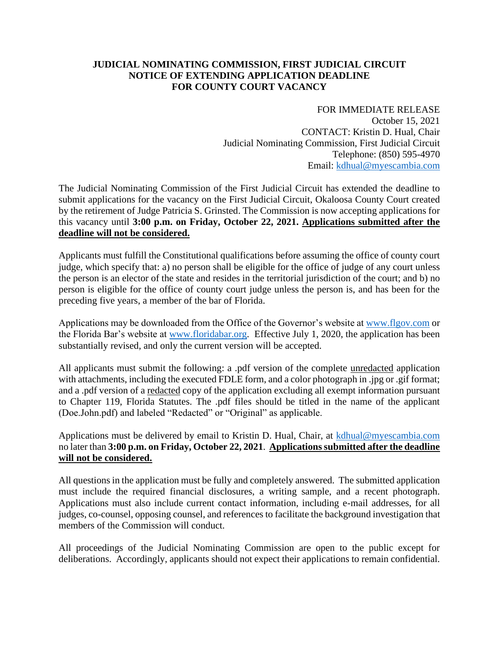## **JUDICIAL NOMINATING COMMISSION, FIRST JUDICIAL CIRCUIT NOTICE OF EXTENDING APPLICATION DEADLINE FOR COUNTY COURT VACANCY**

FOR IMMEDIATE RELEASE October 15, 2021 CONTACT: Kristin D. Hual, Chair Judicial Nominating Commission, First Judicial Circuit Telephone: (850) 595-4970 Email: [kdhual@myescambia.com](mailto:kdhual@myescambia.com)

The Judicial Nominating Commission of the First Judicial Circuit has extended the deadline to submit applications for the vacancy on the First Judicial Circuit, Okaloosa County Court created by the retirement of Judge Patricia S. Grinsted. The Commission is now accepting applications for this vacancy until **3:00 p.m. on Friday, October 22, 2021. Applications submitted after the deadline will not be considered.**

Applicants must fulfill the Constitutional qualifications before assuming the office of county court judge, which specify that: a) no person shall be eligible for the office of judge of any court unless the person is an elector of the state and resides in the territorial jurisdiction of the court; and b) no person is eligible for the office of county court judge unless the person is, and has been for the preceding five years, a member of the bar of Florida.

Applications may be downloaded from the Office of the Governor's website at [www.flgov.com](http://www.flgov.com/) or the Florida Bar's website at [www.floridabar.org.](http://www.floridabar.org/) Effective July 1, 2020, the application has been substantially revised, and only the current version will be accepted.

All applicants must submit the following: a .pdf version of the complete unredacted application with attachments, including the executed FDLE form, and a color photograph in .jpg or .gif format; and a .pdf version of a redacted copy of the application excluding all exempt information pursuant to Chapter 119, Florida Statutes. The .pdf files should be titled in the name of the applicant (Doe.John.pdf) and labeled "Redacted" or "Original" as applicable.

Applications must be delivered by email to Kristin D. Hual, Chair, at [kdhual@myescambia.com](mailto:kdhual@myescambia.com/) no later than **3:00 p.m. on Friday, October 22, 2021**. **Applications submitted after the deadline will not be considered.**

All questions in the application must be fully and completely answered. The submitted application must include the required financial disclosures, a writing sample, and a recent photograph. Applications must also include current contact information, including e-mail addresses, for all judges, co-counsel, opposing counsel, and references to facilitate the background investigation that members of the Commission will conduct.

All proceedings of the Judicial Nominating Commission are open to the public except for deliberations. Accordingly, applicants should not expect their applications to remain confidential.